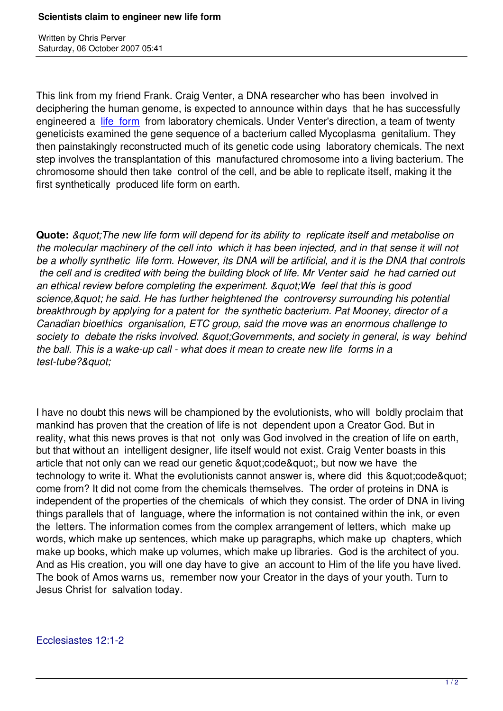Written by Christian by Christian by Christian by Christian by Christian by Christian by Chris Perus

This link from my friend Frank. Craig Venter, a DNA researcher who has been involved in deciphering the human genome, is expected to announce within days that he has successfully engineered a life form from laboratory chemicals. Under Venter's direction, a team of twenty geneticists examined the gene sequence of a bacterium called Mycoplasma genitalium. They then painstakingly reconstructed much of its genetic code using laboratory chemicals. The next step involves t[he transp](http://www.guardian.co.uk/science/2007/oct/06/genetics.climatechange)lantation of this manufactured chromosome into a living bacterium. The chromosome should then take control of the cell, and be able to replicate itself, making it the first synthetically produced life form on earth.

**Quote:** *&guot: The new life form will depend for its ability to replicate itself and metabolise on the molecular machinery of the cell into which it has been injected, and in that sense it will not be a wholly synthetic life form. However, its DNA will be artificial, and it is the DNA that controls the cell and is credited with being the building block of life. Mr Venter said he had carried out* an ethical review before completing the experiment. & quot: We feel that this is good *science," he said. He has further heightened the controversy surrounding his potential breakthrough by applying for a patent for the synthetic bacterium. Pat Mooney, director of a Canadian bioethics organisation, ETC group, said the move was an enormous challenge to* society to debate the risks involved. & *quot: Governments, and society in general, is way behind the ball. This is a wake-up call - what does it mean to create new life forms in a* test-tube?"

I have no doubt this news will be championed by the evolutionists, who will boldly proclaim that mankind has proven that the creation of life is not dependent upon a Creator God. But in reality, what this news proves is that not only was God involved in the creation of life on earth, but that without an intelligent designer, life itself would not exist. Craig Venter boasts in this article that not only can we read our genetic & quot; code & quot;, but now we have the technology to write it. What the evolutionists cannot answer is, where did this & quot: code & quot: come from? It did not come from the chemicals themselves. The order of proteins in DNA is independent of the properties of the chemicals of which they consist. The order of DNA in living things parallels that of language, where the information is not contained within the ink, or even the letters. The information comes from the complex arrangement of letters, which make up words, which make up sentences, which make up paragraphs, which make up chapters, which make up books, which make up volumes, which make up libraries. God is the architect of you. And as His creation, you will one day have to give an account to Him of the life you have lived. The book of Amos warns us, remember now your Creator in the days of your youth. Turn to Jesus Christ for salvation today.

## Ecclesiastes 12:1-2